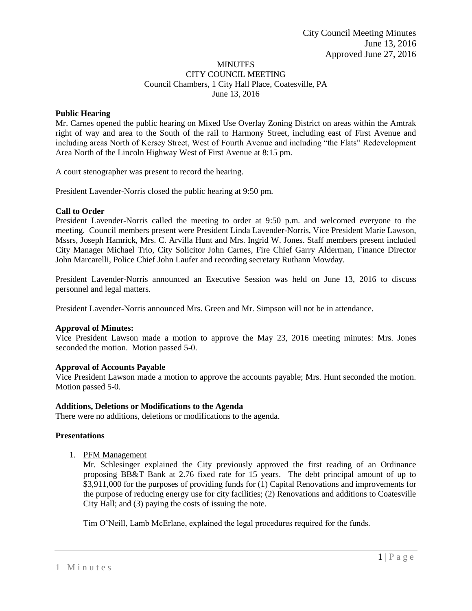#### MINUTES CITY COUNCIL MEETING Council Chambers, 1 City Hall Place, Coatesville, PA June 13, 2016

# **Public Hearing**

Mr. Carnes opened the public hearing on Mixed Use Overlay Zoning District on areas within the Amtrak right of way and area to the South of the rail to Harmony Street, including east of First Avenue and including areas North of Kersey Street, West of Fourth Avenue and including "the Flats" Redevelopment Area North of the Lincoln Highway West of First Avenue at 8:15 pm.

A court stenographer was present to record the hearing.

President Lavender-Norris closed the public hearing at 9:50 pm.

## **Call to Order**

President Lavender-Norris called the meeting to order at 9:50 p.m. and welcomed everyone to the meeting. Council members present were President Linda Lavender-Norris, Vice President Marie Lawson, Mssrs, Joseph Hamrick, Mrs. C. Arvilla Hunt and Mrs. Ingrid W. Jones. Staff members present included City Manager Michael Trio, City Solicitor John Carnes, Fire Chief Garry Alderman, Finance Director John Marcarelli, Police Chief John Laufer and recording secretary Ruthann Mowday.

President Lavender-Norris announced an Executive Session was held on June 13, 2016 to discuss personnel and legal matters.

President Lavender-Norris announced Mrs. Green and Mr. Simpson will not be in attendance.

## **Approval of Minutes:**

Vice President Lawson made a motion to approve the May 23, 2016 meeting minutes: Mrs. Jones seconded the motion. Motion passed 5-0.

## **Approval of Accounts Payable**

Vice President Lawson made a motion to approve the accounts payable; Mrs. Hunt seconded the motion. Motion passed 5-0.

## **Additions, Deletions or Modifications to the Agenda**

There were no additions, deletions or modifications to the agenda.

## **Presentations**

1. PFM Management

Mr. Schlesinger explained the City previously approved the first reading of an Ordinance proposing BB&T Bank at 2.76 fixed rate for 15 years. The debt principal amount of up to \$3,911,000 for the purposes of providing funds for (1) Capital Renovations and improvements for the purpose of reducing energy use for city facilities; (2) Renovations and additions to Coatesville City Hall; and (3) paying the costs of issuing the note.

Tim O'Neill, Lamb McErlane, explained the legal procedures required for the funds.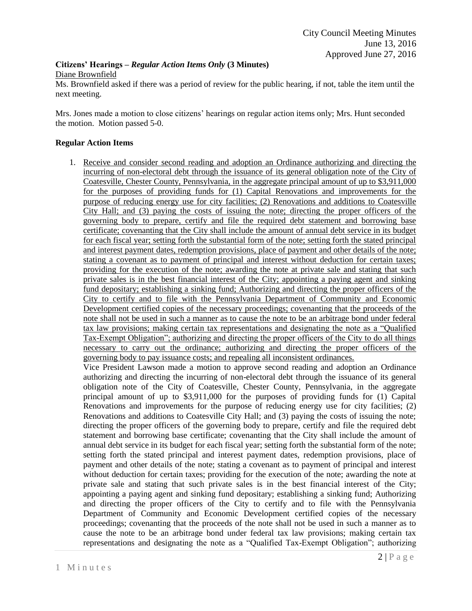# **Citizens' Hearings –** *Regular Action Items Only* **(3 Minutes)** Diane Brownfield

Ms. Brownfield asked if there was a period of review for the public hearing, if not, table the item until the next meeting.

Mrs. Jones made a motion to close citizens' hearings on regular action items only; Mrs. Hunt seconded the motion. Motion passed 5-0.

# **Regular Action Items**

1. Receive and consider second reading and adoption an Ordinance authorizing and directing the incurring of non-electoral debt through the issuance of its general obligation note of the City of Coatesville, Chester County, Pennsylvania, in the aggregate principal amount of up to \$3,911,000 for the purposes of providing funds for (1) Capital Renovations and improvements for the purpose of reducing energy use for city facilities; (2) Renovations and additions to Coatesville City Hall; and (3) paying the costs of issuing the note; directing the proper officers of the governing body to prepare, certify and file the required debt statement and borrowing base certificate; covenanting that the City shall include the amount of annual debt service in its budget for each fiscal year; setting forth the substantial form of the note; setting forth the stated principal and interest payment dates, redemption provisions, place of payment and other details of the note; stating a covenant as to payment of principal and interest without deduction for certain taxes; providing for the execution of the note; awarding the note at private sale and stating that such private sales is in the best financial interest of the City; appointing a paying agent and sinking fund depositary; establishing a sinking fund; Authorizing and directing the proper officers of the City to certify and to file with the Pennsylvania Department of Community and Economic Development certified copies of the necessary proceedings; covenanting that the proceeds of the note shall not be used in such a manner as to cause the note to be an arbitrage bond under federal tax law provisions; making certain tax representations and designating the note as a "Qualified Tax-Exempt Obligation"; authorizing and directing the proper officers of the City to do all things necessary to carry out the ordinance; authorizing and directing the proper officers of the governing body to pay issuance costs; and repealing all inconsistent ordinances.

Vice President Lawson made a motion to approve second reading and adoption an Ordinance authorizing and directing the incurring of non-electoral debt through the issuance of its general obligation note of the City of Coatesville, Chester County, Pennsylvania, in the aggregate principal amount of up to \$3,911,000 for the purposes of providing funds for (1) Capital Renovations and improvements for the purpose of reducing energy use for city facilities; (2) Renovations and additions to Coatesville City Hall; and (3) paying the costs of issuing the note; directing the proper officers of the governing body to prepare, certify and file the required debt statement and borrowing base certificate; covenanting that the City shall include the amount of annual debt service in its budget for each fiscal year; setting forth the substantial form of the note; setting forth the stated principal and interest payment dates, redemption provisions, place of payment and other details of the note; stating a covenant as to payment of principal and interest without deduction for certain taxes; providing for the execution of the note; awarding the note at private sale and stating that such private sales is in the best financial interest of the City; appointing a paying agent and sinking fund depositary; establishing a sinking fund; Authorizing and directing the proper officers of the City to certify and to file with the Pennsylvania Department of Community and Economic Development certified copies of the necessary proceedings; covenanting that the proceeds of the note shall not be used in such a manner as to cause the note to be an arbitrage bond under federal tax law provisions; making certain tax representations and designating the note as a "Qualified Tax-Exempt Obligation"; authorizing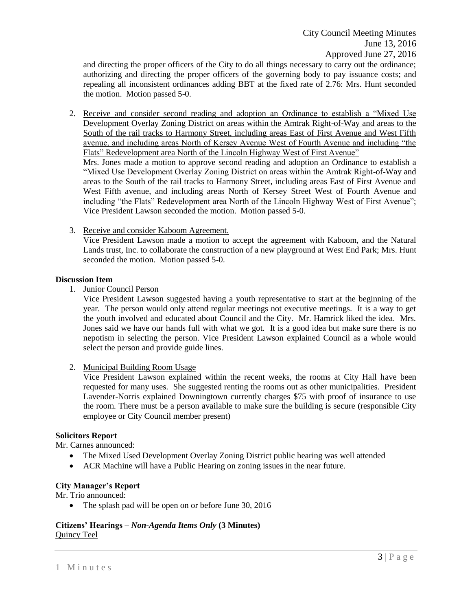and directing the proper officers of the City to do all things necessary to carry out the ordinance; authorizing and directing the proper officers of the governing body to pay issuance costs; and repealing all inconsistent ordinances adding BBT at the fixed rate of 2.76: Mrs. Hunt seconded the motion. Motion passed 5-0.

2. Receive and consider second reading and adoption an Ordinance to establish a "Mixed Use Development Overlay Zoning District on areas within the Amtrak Right-of-Way and areas to the South of the rail tracks to Harmony Street, including areas East of First Avenue and West Fifth avenue, and including areas North of Kersey Avenue West of Fourth Avenue and including "the Flats" Redevelopment area North of the Lincoln Highway West of First Avenue"

Mrs. Jones made a motion to approve second reading and adoption an Ordinance to establish a "Mixed Use Development Overlay Zoning District on areas within the Amtrak Right-of-Way and areas to the South of the rail tracks to Harmony Street, including areas East of First Avenue and West Fifth avenue, and including areas North of Kersey Street West of Fourth Avenue and including "the Flats" Redevelopment area North of the Lincoln Highway West of First Avenue"; Vice President Lawson seconded the motion. Motion passed 5-0.

3. Receive and consider Kaboom Agreement.

Vice President Lawson made a motion to accept the agreement with Kaboom, and the Natural Lands trust, Inc. to collaborate the construction of a new playground at West End Park; Mrs. Hunt seconded the motion. Motion passed 5-0.

#### **Discussion Item**

1. Junior Council Person

Vice President Lawson suggested having a youth representative to start at the beginning of the year. The person would only attend regular meetings not executive meetings. It is a way to get the youth involved and educated about Council and the City. Mr. Hamrick liked the idea. Mrs. Jones said we have our hands full with what we got. It is a good idea but make sure there is no nepotism in selecting the person. Vice President Lawson explained Council as a whole would select the person and provide guide lines.

2. Municipal Building Room Usage

Vice President Lawson explained within the recent weeks, the rooms at City Hall have been requested for many uses. She suggested renting the rooms out as other municipalities. President Lavender-Norris explained Downingtown currently charges \$75 with proof of insurance to use the room. There must be a person available to make sure the building is secure (responsible City employee or City Council member present)

## **Solicitors Report**

Mr. Carnes announced:

- The Mixed Used Development Overlay Zoning District public hearing was well attended
- ACR Machine will have a Public Hearing on zoning issues in the near future.

#### **City Manager's Report**

Mr. Trio announced:

• The splash pad will be open on or before June 30, 2016

#### **Citizens' Hearings –** *Non-Agenda Items Only* **(3 Minutes)** Quincy Teel